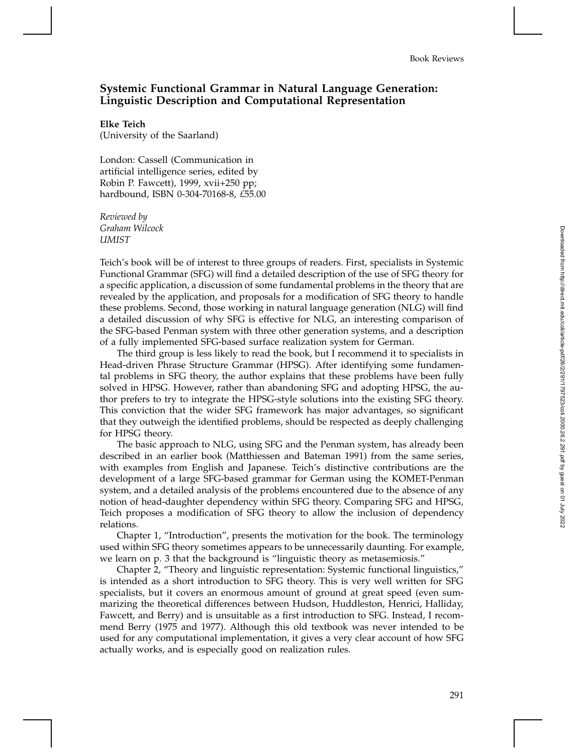## **Systemic Functional Grammar in Natural Language Generation: Linguistic Description and Computational Representation**

**Elke Teich** (University of the Saarland)

London: Cassell (Communication in artificial intelligence series, edited by Robin P. Fawcett), 1999, xvii+250 pp; hardbound, ISBN 0-304-70168-8, *£*55.00

*Reviewed by Graham Wilcock UMIST*

Teich's book will be of interest to three groups of readers. First, specialists in Systemic Functional Grammar (SFG) will find a detailed description of the use of SFG theory for a specific application, a discussion of some fundamental problems in the theory that are revealed by the application, and proposals for a modification of SFG theory to handle these problems. Second, those working in natural language generation (NLG) will find a detailed discussion of why SFG is effective for NLG, an interesting comparison of the SFG-based Penman system with three other generation systems, and a description of a fully implemented SFG-based surface realization system for German.

The third group is less likely to read the book, but I recommend it to specialists in Head-driven Phrase Structure Grammar (HPSG). After identifying some fundamental problems in SFG theory, the author explains that these problems have been fully solved in HPSG. However, rather than abandoning SFG and adopting HPSG, the author prefers to try to integrate the HPSG-style solutions into the existing SFG theory. This conviction that the wider SFG framework has major advantages, so significant that they outweigh the identified problems, should be respected as deeply challenging for HPSG theory.

The basic approach to NLG, using SFG and the Penman system, has already been described in an earlier book (Matthiessen and Bateman 1991) from the same series, with examples from English and Japanese. Teich's distinctive contributions are the development of a large SFG-based grammar for German using the KOMET-Penman system, and a detailed analysis of the problems encountered due to the absence of any notion of head-daughter dependency within SFG theory. Comparing SFG and HPSG, Teich proposes a modification of SFG theory to allow the inclusion of dependency relations.

Chapter 1, "Introduction", presents the motivation for the book. The terminology used within SFG theory sometimes appears to be unnecessarily daunting. For example, we learn on p. 3 that the background is "linguistic theory as metasemiosis."

Chapter 2, "Theory and linguistic representation: Systemic functional linguistics," is intended as a short introduction to SFG theory. This is very well written for SFG specialists, but it covers an enormous amount of ground at great speed (even summarizing the theoretical differences between Hudson, Huddleston, Henrici, Halliday, Fawcett, and Berry) and is unsuitable as a first introduction to SFG. Instead, I recommend Berry (1975 and 1977). Although this old textbook was never intended to be used for any computational implementation, it gives a very clear account of how SFG actually works, and is especially good on realization rules.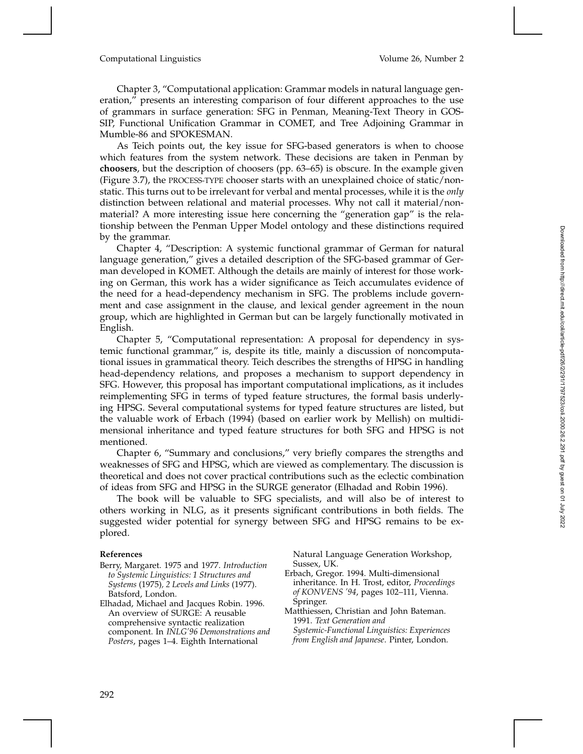## Computational Linguistics Volume 26, Number 2

Chapter 3, "Computational application: Grammar models in natural language generation," presents an interesting comparison of four different approaches to the use of grammars in surface generation: SFG in Penman, Meaning-Text Theory in GOS-SIP, Functional Unification Grammar in COMET, and Tree Adjoining Grammar in Mumble-86 and SPOKESMAN.

As Teich points out, the key issue for SFG-based generators is when to choose which features from the system network. These decisions are taken in Penman by **choosers**, but the description of choosers (pp. 63–65) is obscure. In the example given (Figure 3.7), the PROCESS-TYPE chooser starts with an unexplained choice of static/nonstatic. This turns out to be irrelevant for verbal and mental processes, while it is the *only* distinction between relational and material processes. Why not call it material/nonmaterial? A more interesting issue here concerning the "generation gap" is the relationship between the Penman Upper Model ontology and these distinctions required by the grammar.

Chapter 4, "Description: A systemic functional grammar of German for natural language generation," gives a detailed description of the SFG-based grammar of German developed in KOMET. Although the details are mainly of interest for those working on German, this work has a wider significance as Teich accumulates evidence of the need for a head-dependency mechanism in SFG. The problems include government and case assignment in the clause, and lexical gender agreement in the noun group, which are highlighted in German but can be largely functionally motivated in English.

Chapter 5, "Computational representation: A proposal for dependency in systemic functional grammar," is, despite its title, mainly a discussion of noncomputational issues in grammatical theory. Teich describes the strengths of HPSG in handling head-dependency relations, and proposes a mechanism to support dependency in SFG. However, this proposal has important computational implications, as it includes reimplementing SFG in terms of typed feature structures, the formal basis underlying HPSG. Several computational systems for typed feature structures are listed, but the valuable work of Erbach (1994) (based on earlier work by Mellish) on multidimensional inheritance and typed feature structures for both SFG and HPSG is not mentioned.

Chapter 6, "Summary and conclusions," very briefly compares the strengths and weaknesses of SFG and HPSG, which are viewed as complementary. The discussion is theoretical and does not cover practical contributions such as the eclectic combination of ideas from SFG and HPSG in the SURGE generator (Elhadad and Robin 1996).

The book will be valuable to SFG specialists, and will also be of interest to others working in NLG, as it presents significant contributions in both fields. The suggested wider potential for synergy between SFG and HPSG remains to be explored.

## **References**

- Berry, Margaret. 1975 and 1977. *Introduction to Systemic Linguistics: 1 Structures and Systems* (1975)*, 2 Levels and Links* (1977). Batsford, London.
- Elhadad, Michael and Jacques Robin. 1996. An overview of SURGE: A reusable comprehensive syntactic realization component. In *INLG'96 Demonstrations and Posters*, pages 1–4. Eighth International

Natural Language Generation Workshop, Sussex, UK.

- Erbach, Gregor. 1994. Multi-dimensional inheritance. In H. Trost, editor, *Proceedings of KONVENS '94*, pages 102–111, Vienna. Springer.
- Matthiessen, Christian and John Bateman. 1991. *Text Generation and Systemic-Functional Linguistics: Experiences*
- *from English and Japanese*. Pinter, London.